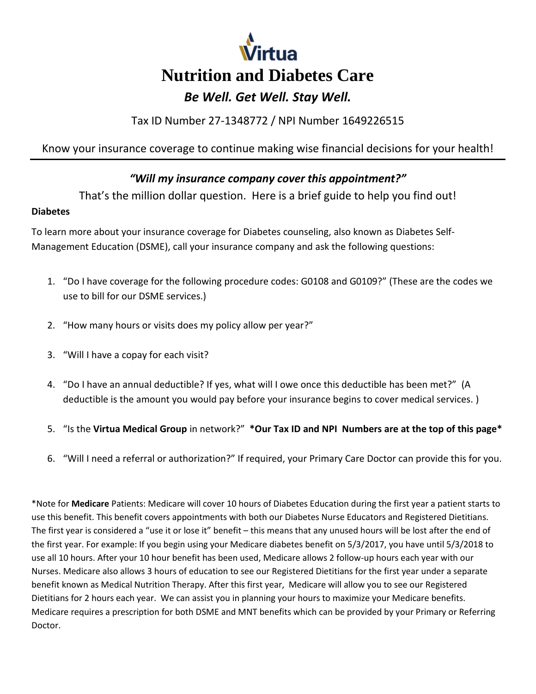

Tax ID Number 27-1348772 / NPI Number 1649226515

Know your insurance coverage to continue making wise financial decisions for your health!

## *"Will my insurance company cover this appointment?"*

That's the million dollar question. Here is a brief guide to help you find out!

#### **Diabetes**

To learn more about your insurance coverage for Diabetes counseling, also known as Diabetes Self-Management Education (DSME), call your insurance company and ask the following questions:

- 1. "Do I have coverage for the following procedure codes: G0108 and G0109?" (These are the codes we use to bill for our DSME services.)
- 2. "How many hours or visits does my policy allow per year?"
- 3. "Will I have a copay for each visit?
- 4. "Do I have an annual deductible? If yes, what will I owe once this deductible has been met?" (A deductible is the amount you would pay before your insurance begins to cover medical services. )
- 5. "Is the **Virtua Medical Group** in network?" **\*Our Tax ID and NPI Numbers are at the top of this page\***
- 6. "Will I need a referral or authorization?" If required, your Primary Care Doctor can provide this for you.

\*Note for **Medicare** Patients: Medicare will cover 10 hours of Diabetes Education during the first year a patient starts to use this benefit. This benefit covers appointments with both our Diabetes Nurse Educators and Registered Dietitians. The first year is considered a "use it or lose it" benefit – this means that any unused hours will be lost after the end of the first year. For example: If you begin using your Medicare diabetes benefit on 5/3/2017, you have until 5/3/2018 to use all 10 hours. After your 10 hour benefit has been used, Medicare allows 2 follow-up hours each year with our Nurses. Medicare also allows 3 hours of education to see our Registered Dietitians for the first year under a separate benefit known as Medical Nutrition Therapy. After this first year, Medicare will allow you to see our Registered Dietitians for 2 hours each year. We can assist you in planning your hours to maximize your Medicare benefits. Medicare requires a prescription for both DSME and MNT benefits which can be provided by your Primary or Referring Doctor.